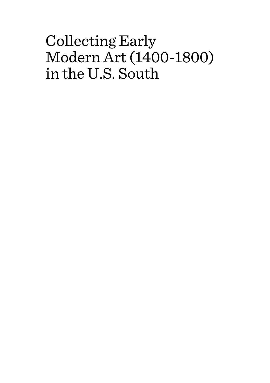# Collecting Early Modern Art (1400-1800) in the U.S. South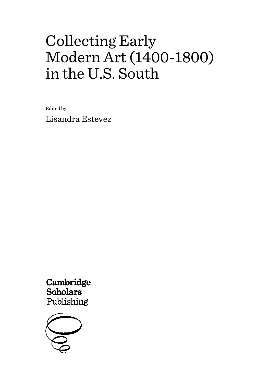# Collecting Early Modern Art (1400-1800) in the U.S. South

Edited by

Lisandra Estevez

Cambridge **Scholars** Publishing

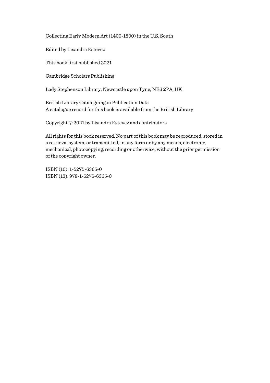Collecting Early Modern Art (1400-1800) in the U.S. South

Edited by Lisandra Estevez

This book first published 2021

Cambridge Scholars Publishing

Lady Stephenson Library, Newcastle upon Tyne, NE6 2PA, UK

British Library Cataloguing in Publication Data A catalogue record for this book is available from the British Library

Copyright © 2021 by Lisandra Estevez and contributors

All rights for this book reserved. No part of this book may be reproduced, stored in a retrieval system, or transmitted, in any form or by any means, electronic, mechanical, photocopying, recording or otherwise, without the prior permission of the copyright owner.

ISBN (10): 1-5275-6365-0 ISBN (13): 978-1-5275-6365-0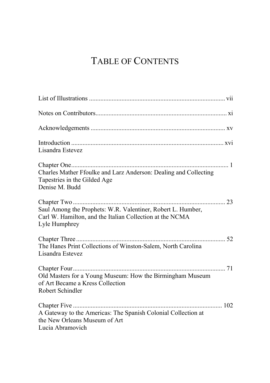## TABLE OF CONTENTS

| Lisandra Estevez                                                                                                                         |
|------------------------------------------------------------------------------------------------------------------------------------------|
| Charles Mather Ffoulke and Larz Anderson: Dealing and Collecting<br>Tapestries in the Gilded Age<br>Denise M. Budd                       |
| Saul Among the Prophets: W.R. Valentiner, Robert L. Humber,<br>Carl W. Hamilton, and the Italian Collection at the NCMA<br>Lyle Humphrey |
| The Hanes Print Collections of Winston-Salem, North Carolina<br>Lisandra Estevez                                                         |
| Old Masters for a Young Museum: How the Birmingham Museum<br>of Art Became a Kress Collection<br>Robert Schindler                        |
| A Gateway to the Americas: The Spanish Colonial Collection at<br>the New Orleans Museum of Art<br>Lucia Abramovich                       |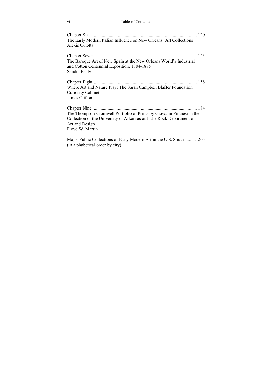#### vi Table of Contents

| The Early Modern Italian Influence on New Orleans' Art Collections<br>Alexis Culotta                                                                                                |
|-------------------------------------------------------------------------------------------------------------------------------------------------------------------------------------|
| The Baroque Art of New Spain at the New Orleans World's Industrial<br>and Cotton Centennial Exposition, 1884-1885<br>Sandra Pauly                                                   |
| Where Art and Nature Play: The Sarah Campbell Blaffer Foundation<br><b>Curiosity Cabinet</b><br>James Clifton                                                                       |
| The Thompson-Cromwell Portfolio of Prints by Giovanni Piranesi in the<br>Collection of the University of Arkansas at Little Rock Department of<br>Art and Design<br>Floyd W. Martin |
| Major Public Collections of Early Modern Art in the U.S. South 205                                                                                                                  |

(in alphabetical order by city)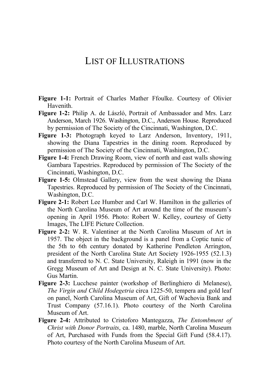### LIST OF ILLUSTRATIONS

- **Figure 1-1:** Portrait of Charles Mather Ffoulke. Courtesy of Olivier Havenith.
- **Figure 1-2:** Philip A. de László, Portrait of Ambassador and Mrs. Larz Anderson, March 1926. Washington, D.C., Anderson House. Reproduced by permission of The Society of the Cincinnati, Washington, D.C.
- **Figure 1-3:** Photograph keyed to Larz Anderson, Inventory, 1911, showing the Diana Tapestries in the dining room. Reproduced by permission of The Society of the Cincinnati, Washington, D.C.
- **Figure 1-4:** French Drawing Room, view of north and east walls showing Gambara Tapestries. Reproduced by permission of The Society of the Cincinnati, Washington, D.C.
- **Figure 1-5:** Olmstead Gallery, view from the west showing the Diana Tapestries. Reproduced by permission of The Society of the Cincinnati, Washington, D.C.
- **Figure 2-1:** Robert Lee Humber and Carl W. Hamilton in the galleries of the North Carolina Museum of Art around the time of the museum's opening in April 1956. Photo: Robert W. Kelley, courtesy of Getty Images, The LIFE Picture Collection.
- **Figure 2-2:** W. R. Valentiner at the North Carolina Museum of Art in 1957. The object in the background is a panel from a Coptic tunic of the 5th to 6th century donated by Katherine Pendleton Arrington, president of the North Carolina State Art Society 1926-1955 (52.1.3) and transferred to N. C. State University, Raleigh in 1991 (now in the Gregg Museum of Art and Design at N. C. State University). Photo: Gus Martin.
- **Figure 2-3:** Lucchese painter (workshop of Berlinghiero di Melanese), *The Virgin and Child Hodegetria* circa 1225-50, tempera and gold leaf on panel, North Carolina Museum of Art, Gift of Wachovia Bank and Trust Company (57.16.1). Photo courtesy of the North Carolina Museum of Art.
- **Figure 2-4:** Attributed to Cristoforo Mantegazza, *The Entombment of Christ with Donor Portraits*, ca. 1480, marble, North Carolina Museum of Art, Purchased with Funds from the Special Gift Fund (58.4.17). Photo courtesy of the North Carolina Museum of Art.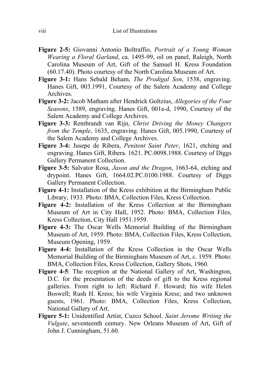- **Figure 2-5:** Giovanni Antonio Boltraffio, *Portrait of a Young Woman Wearing a Floral Garland*, ca. 1495-99, oil on panel, Raleigh, North Carolina Museum of Art, Gift of the Samuel H. Kress Foundation (60.17.40). Photo courtesy of the North Carolina Museum of Art.
- **Figure 3-1:** Hans Sebald Beham, *The Prodigal Son*, 1538, engraving. Hanes Gift, 003.1991, Courtesy of the Salem Academy and College Archives.
- **Figure 3-2:** Jacob Matham after Hendrick Goltzius, *Allegories of the Four Seasons*, 1589, engraving. Hanes Gift, 001a-d, 1990, Courtesy of the Salem Academy and College Archives.
- **Figure 3-3:** Rembrandt van Rijn, *Christ Driving the Money Changers from the Temple*, 1635, engraving. Hanes Gift, 005.1990, Courtesy of the Salem Academy and College Archives.
- **Figure 3-4:** Jusepe de Ribera, *Penitent Saint Peter*, 1621, etching and engraving. Hanes Gift, Ribera. 1621. PC.0098.1988. Courtesy of Diggs Gallery Permanent Collection.
- **Figure 3-5:** Salvator Rosa, *Jason and the Dragon*, 1663-64, etching and drypoint. Hanes Gift, 1664.02.PC.0100.1988. Courtesy of Diggs Gallery Permanent Collection.
- **Figure 4-1:** Installation of the Kress exhibition at the Birmingham Public Library, 1933. Photo: BMA, Collection Files, Kress Collection.
- **Figure 4-2:** Installation of the Kress Collection at the Birmingham Museum of Art in City Hall, 1952. Photo: BMA, Collection Files, Kress Collection, City Hall 1951.1959.
- **Figure 4-3:** The Oscar Wells Memorial Building of the Birmingham Museum of Art, 1959. Photo: BMA, Collection Files, Kress Collection, Museum Opening, 1959.
- **Figure 4-4:** Installation of the Kress Collection in the Oscar Wells Memorial Building of the Birmingham Museum of Art, c. 1959. Photo: BMA, Collection Files, Kress Collection, Gallery Shots, 1960.
- **Figure 4-5**: The reception at the National Gallery of Art, Washington, D.C. for the presentation of the deeds of gift to the Kress regional galleries. From right to left: Richard F. Howard; his wife Helen Boswell; Rush H. Kress; his wife Virginia Kress; and two unknown guests, 1961. Photo: BMA, Collection Files, Kress Collection, National Gallery of Art.
- **Figure 5-1:** Unidentified Artist, Cuzco School. *Saint Jerome Writing the Vulgate*, seventeenth century. New Orleans Museum of Art, Gift of John J. Cunningham, 51.60.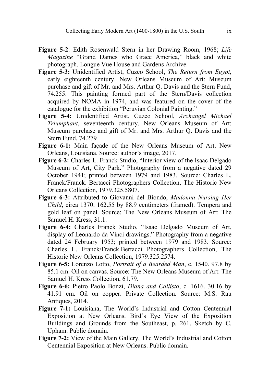- **Figure 5-2**: Edith Rosenwald Stern in her Drawing Room, 1968; *Life Magazine* "Grand Dames who Grace America," black and white photograph. Longue Vue House and Gardens Archive.
- **Figure 5-3:** Unidentified Artist, Cuzco School, *The Return from Egypt*, early eighteenth century. New Orleans Museum of Art: Museum purchase and gift of Mr. and Mrs. Arthur Q. Davis and the Stern Fund, 74.255. This painting formed part of the Stern/Davis collection acquired by NOMA in 1974, and was featured on the cover of the catalogue for the exhibition "Peruvian Colonial Painting."
- **Figure 5-4:** Unidentified Artist, Cuzco School, *Archangel Michael Triumphant*, seventeenth century. New Orleans Museum of Art: Museum purchase and gift of Mr. and Mrs. Arthur Q. Davis and the Stern Fund, 74.279
- **Figure 6-1:** Main façade of the New Orleans Museum of Art, New Orleans, Louisiana. Source: author's image, 2017.
- **Figure 6-2:** Charles L. Franck Studio, "Interior view of the Isaac Delgado Museum of Art, City Park." Photography from a negative dated 29 October 1941; printed between 1979 and 1983. Source: Charles L. Franck/Franck. Bertacci Photographers Collection, The Historic New Orleans Collection, 1979.325.5807.
- **Figure 6-3:** Attributed to Giovanni del Biondo, *Madonna Nursing Her Child*, circa 1370. 162.55 by 88.9 centimeters (framed). Tempera and gold leaf on panel. Source: The New Orleans Museum of Art: The Samuel H. Kress, 31.1.
- **Figure 6-4:** Charles Franck Studio, "Isaac Delgado Museum of Art, display of Leonardo da Vinci drawings." Photography from a negative dated 24 February 1953; printed between 1979 and 1983. Source: Charles L. Franck/Franck.Bertacci Photographers Collection, The Historic New Orleans Collection, 1979.325.2574.
- **Figure 6-5:** Lorenzo Lotto, *Portrait of a Bearded Man*, c. 1540. 97.8 by 85.1 cm. Oil on canvas. Source: The New Orleans Museum of Art: The Samuel H. Kress Collection, 61.79.
- **Figure 6-6:** Pietro Paolo Bonzi, *Diana and Callisto*, c. 1616. 30.16 by 41.91 cm. Oil on copper. Private Collection. Source: M.S. Rau Antiques, 2014.
- **Figure 7-1:** Louisiana, The World's Industrial and Cotton Centennial Exposition at New Orleans. Bird's Eye View of the Exposition Buildings and Grounds from the Southeast, p. 261, Sketch by C. Upham. Public domain.
- **Figure 7-2:** View of the Main Gallery, The World's Industrial and Cotton Centennial Exposition at New Orleans. Public domain.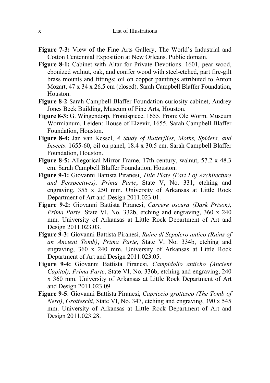- **Figure 7-3:** View of the Fine Arts Gallery, The World's Industrial and Cotton Centennial Exposition at New Orleans. Public domain.
- **Figure 8-1:** Cabinet with Altar for Private Devotions. 1601, pear wood, ebonized walnut, oak, and conifer wood with steel-etched, part fire-gilt brass mounts and fittings; oil on copper paintings attributed to Anton Mozart, 47 x 34 x 26.5 cm (closed). Sarah Campbell Blaffer Foundation, Houston.
- **Figure 8-2** Sarah Campbell Blaffer Foundation curiosity cabinet, Audrey Jones Beck Building, Museum of Fine Arts, Houston.
- **Figure 8-3:** G. Wingendorp, Frontispiece. 1655. From: Ole Worm. Museum Wormianum. Leiden: House of Elzevir, 1655. Sarah Campbell Blaffer Foundation, Houston.
- **Figure 8-4:** Jan van Kessel, *A Study of Butterflies, Moths, Spiders, and Insects*. 1655-60, oil on panel, 18.4 x 30.5 cm. Sarah Campbell Blaffer Foundation, Houston.
- **Figure 8-5:** Allegorical Mirror Frame. 17th century, walnut, 57.2 x 48.3 cm. Sarah Campbell Blaffer Foundation, Houston.
- **Figure 9-1:** Giovanni Battista Piranesi, *Title Plate (Part I of Architecture and Perspectives), Prima Parte*, State V, No. 331, etching and engraving, 355 x 250 mm. University of Arkansas at Little Rock Department of Art and Design 2011.023.01.
- **Figure 9-2:** Giovanni Battista Piranesi, *Carcere oscura (Dark Prison), Prima Parte,* State VI, No. 332b, etching and engraving, 360 x 240 mm. University of Arkansas at Little Rock Department of Art and Design 2011.023.03.
- **Figure 9-3:** Giovanni Battista Piranesi, *Ruine di Sepolcro antico (Ruins of an Ancient Tomb)*, *Prima Parte*, State V, No. 334b, etching and engraving, 360 x 240 mm. University of Arkansas at Little Rock Department of Art and Design 2011.023.05.
- **Figure 9-4:** Giovanni Battista Piranesi, *Campidolio anticho (Ancient Capitol), Prima Parte*, State VI, No. 336b, etching and engraving, 240 x 360 mm. University of Arkansas at Little Rock Department of Art and Design 2011.023.09.
- **Figure 9-5**: Giovanni Battista Piranesi, *Capriccio grottesco (The Tomb of Nero)*, *Grotteschi,* State VI, No. 347, etching and engraving, 390 x 545 mm. University of Arkansas at Little Rock Department of Art and Design 2011.023.28.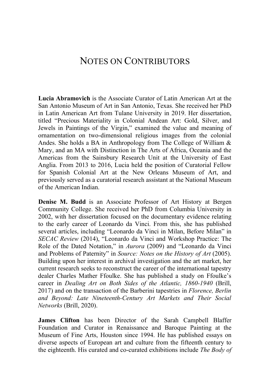#### NOTES ON CONTRIBUTORS

**Lucia Abramovich** is the Associate Curator of Latin American Art at the San Antonio Museum of Art in San Antonio, Texas. She received her PhD in Latin American Art from Tulane University in 2019. Her dissertation, titled "Precious Materiality in Colonial Andean Art: Gold, Silver, and Jewels in Paintings of the Virgin," examined the value and meaning of ornamentation on two-dimensional religious images from the colonial Andes. She holds a BA in Anthropology from The College of William & Mary, and an MA with Distinction in The Arts of Africa, Oceania and the Americas from the Sainsbury Research Unit at the University of East Anglia. From 2013 to 2016, Lucia held the position of Curatorial Fellow for Spanish Colonial Art at the New Orleans Museum of Art, and previously served as a curatorial research assistant at the National Museum of the American Indian.

**Denise M. Budd** is an Associate Professor of Art History at Bergen Community College. She received her PhD from Columbia University in 2002, with her dissertation focused on the documentary evidence relating to the early career of Leonardo da Vinci. From this, she has published several articles, including "Leonardo da Vinci in Milan, Before Milan" in *SECAC Review* (2014), "Leonardo da Vinci and Workshop Practice: The Role of the Dated Notation," in *Aurora* (2009) and "Leonardo da Vinci and Problems of Paternity" in *Source: Notes on the History of Art* (2005). Building upon her interest in archival investigation and the art market, her current research seeks to reconstruct the career of the international tapestry dealer Charles Mather Ffoulke. She has published a study on Ffoulke's career in *Dealing Art on Both Sides of the Atlantic, 1860-1940* (Brill, 2017) and on the transaction of the Barberini tapestries in *Florence, Berlin and Beyond: Late Nineteenth-Century Art Markets and Their Social Networks* (Brill, 2020).

**James Clifton** has been Director of the Sarah Campbell Blaffer Foundation and Curator in Renaissance and Baroque Painting at the Museum of Fine Arts, Houston since 1994. He has published essays on diverse aspects of European art and culture from the fifteenth century to the eighteenth. His curated and co-curated exhibitions include *The Body of*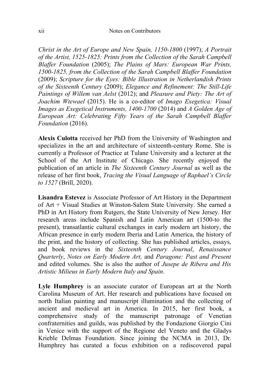*Christ in the Art of Europe and New Spain, 1150-1800* (1997); *A Portrait of the Artist, 1525-1825: Prints from the Collection of the Sarah Campbell Blaffer Foundation* (2005); *The Plains of Mars: European War Prints, 1500-1825, from the Collection of the Sarah Campbell Blaffer Foundation* (2009); *Scripture for the Eyes: Bible Illustration in Netherlandish Prints of the Sixteenth Century* (2009); *Elegance and Refinement: The Still-Life Paintings of Willem van Aelst* (2012); and *Pleasure and Piety: The Art of Joachim Wtewael* (2015). He is a co-editor of *Imago Exegetica: Visual Images as Exegetical Instruments, 1400-1700* (2014) and *A Golden Age of European Art: Celebrating Fifty Years of the Sarah Campbell Blaffer Foundation* (2016).

**Alexis Culotta** received her PhD from the University of Washington and specializes in the art and architecture of sixteenth-century Rome. She is currently a Professor of Practice at Tulane University and a lecturer at the School of the Art Institute of Chicago. She recently enjoyed the publication of an article in *The Sixteenth Century Journal* as well as the release of her first book, *Tracing the Visual Language of Raphael's Circle to 1527* (Brill, 2020).

**Lisandra Estevez** is Associate Professor of Art History in the Department of Art + Visual Studies at Winston-Salem State University. She earned a PhD in Art History from Rutgers, the State University of New Jersey. Her research areas include Spanish and Latin American art (1500-to the present), transatlantic cultural exchanges in early modern art history, the African presence in early modern Iberia and Latin America, the history of the print, and the history of collecting. She has published articles, essays, and book reviews in the *Sixteenth Century Journal*, *Renaissance Quarterly*, *Notes on Early Modern Art,* and *Paragone: Past and Present* and edited volumes. She is also the author of *Jusepe de Ribera and His Artistic Milieus in Early Modern Italy and Spain*.

**Lyle Humphrey** is an associate curator of European art at the North Carolina Museum of Art. Her research and publications have focused on north Italian painting and manuscript illumination and the collecting of ancient and medieval art in America. In 2015, her first book, a comprehensive study of the manuscript patronage of Venetian confraternities and guilds, was published by the Fondazione Giorgio Cini in Venice with the support of the Regione del Veneto and the Gladys Krieble Delmas Foundation. Since joining the NCMA in 2013, Dr. Humphrey has curated a focus exhibition on a rediscovered papal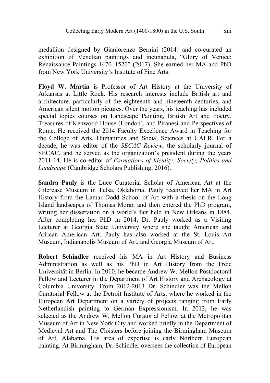medallion designed by Gianlorenzo Bernini (2014) and co-curated an exhibition of Venetian paintings and incunabula, "Glory of Venice: Renaissance Paintings 1470–1520" (2017). She earned her MA and PhD from New York University's Institute of Fine Arts.

**Floyd W. Martin** is Professor of Art History at the University of Arkansas at Little Rock. His research interests include British art and architecture, particularly of the eighteenth and nineteenth centuries, and American silent motion pictures. Over the years, his teaching has included special topics courses on Landscape Painting, British Art and Poetry, Treasures of Kenwood House (London), and Piranesi and Perspectives of Rome. He received the 2014 Faculty Excellence Award in Teaching for the College of Arts, Humanities and Social Sciences at UALR. For a decade, he was editor of the *SECAC Review*, the scholarly journal of SECAC, and he served as the organization's president during the years 2011-14. He is co-editor of *Formations of Identity: Society, Politics and Landscape* (Cambridge Scholars Publishing, 2016).

**Sandra Pauly** is the Luce Curatorial Scholar of American Art at the Gilcrease Museum in Tulsa, Oklahoma. Pauly received her MA in Art History from the Lamar Dodd School of Art with a thesis on the Long Island landscapes of Thomas Moran and then entered the PhD program, writing her dissertation on a world's fair held in New Orleans in 1884. After completing her PhD in 2014, Dr. Pauly worked as a Visiting Lecturer at Georgia State University where she taught American and African American Art. Pauly has also worked at the St. Louis Art Museum, Indianapolis Museum of Art, and Georgia Museum of Art.

**Robert Schindler** received his MA in Art History and Business Administration as well as his PhD in Art History from the Freie Universität in Berlin. In 2010, he became Andrew W. Mellon Postdoctoral Fellow and Lecturer in the Department of Art History and Archaeology at Columbia University. From 2012-2013 Dr. Schindler was the Mellon Curatorial Fellow at the Detroit Institute of Arts, where he worked in the European Art Department on a variety of projects ranging from Early Netherlandish painting to German Expressionism. In 2013, he was selected as the Andrew W. Mellon Curatorial Fellow at the Metropolitan Museum of Art in New York City and worked briefly in the Department of Medieval Art and The Cloisters before joining the Birmingham Museum of Art, Alabama. His area of expertise is early Northern European painting. At Birmingham, Dr. Schindler oversees the collection of European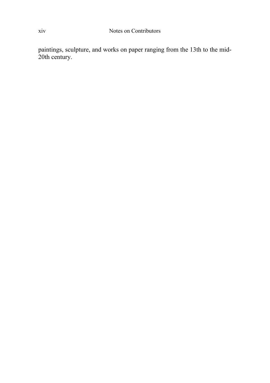paintings, sculpture, and works on paper ranging from the 13th to the mid-20th century.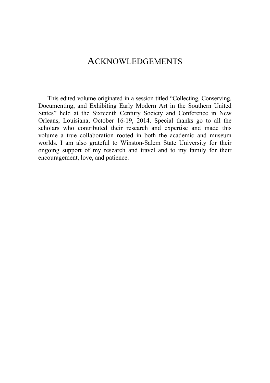#### ACKNOWLEDGEMENTS

This edited volume originated in a session titled "Collecting, Conserving, Documenting, and Exhibiting Early Modern Art in the Southern United States" held at the Sixteenth Century Society and Conference in New Orleans, Louisiana, October 16-19, 2014. Special thanks go to all the scholars who contributed their research and expertise and made this volume a true collaboration rooted in both the academic and museum worlds. I am also grateful to Winston-Salem State University for their ongoing support of my research and travel and to my family for their encouragement, love, and patience.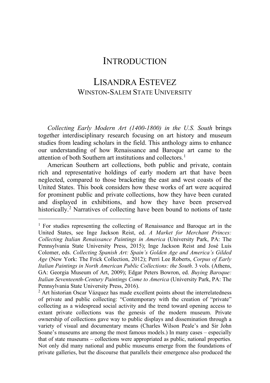#### **INTRODUCTION**

### LISANDRA ESTEVEZ WINSTON-SALEM STATE UNIVERSITY

*Collecting Early Modern Art (1400-1800) in the U.S. South* brings together interdisciplinary research focusing on art history and museum studies from leading scholars in the field. This anthology aims to enhance our understanding of how Renaissance and Baroque art came to the attention of both Southern art institutions and collectors.<sup>[1](#page-15-0)</sup>

American Southern art collections, both public and private, contain rich and representative holdings of early modern art that have been neglected, compared to those bracketing the east and west coasts of the United States. This book considers how these works of art were acquired for prominent public and private collections, how they have been curated and displayed in exhibitions, and how they have been preserved historically.<sup>[2](#page-15-1)</sup> Narratives of collecting have been bound to notions of taste

<span id="page-15-0"></span> $1$  For studies representing the collecting of Renaissance and Baroque art in the United States, see Inge Jackson Reist, ed. *A Market for Merchant Princes: Collecting Italian Renaissance Paintings in America* (University Park, PA: The Pennsylvania State University Press, 2015); Inge Jackson Reist and José Luis Colomer, eds. *Collecting Spanish Art: Spain's Golden Age and America's Gilded Age* (New York: The Frick Collection, 2012); Perri Lee Roberts, *Corpus of Early Italian Paintings in North American Public Collections: the South*. 3 vols. (Athens, GA: Georgia Museum of Art, 2009); Edgar Peters Bowron, ed. *Buying Baroque: Italian Seventeenth-Century Paintings Come to America* (University Park, PA: The Pennsylvania State University Press, 2016).

<span id="page-15-1"></span> $2$  Art historian Oscar Vázquez has made excellent points about the interrelatedness of private and public collecting: "Contemporary with the creation of "private" collecting as a widespread social activity and the trend toward opening access to extant private collections was the genesis of the modern museum. Private ownership of collections gave way to public displays and dissemination through a variety of visual and documentary means (Charles Wilson Peale's and Sir John Soane's museums are among the most famous models.) In many cases – especially that of state museums – collections were appropriated as public, national properties. Not only did many national and public museums emerge from the foundations of private galleries, but the discourse that parallels their emergence also produced the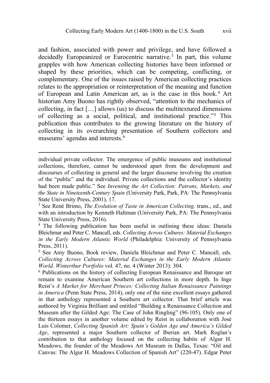and fashion, associated with power and privilege, and have followed a decidedly Europeanized or Eurocentric narrative.<sup>3</sup> In part, this volume grapples with how American collecting histories have been informed or shaped by these priorities, which can be competing, conflicting, or complementary. One of the issues raised by American collecting practices relates to the appropriation or reinterpretation of the meaning and function of European and Latin American art, as is the case in this book.[4](#page-16-1) Art historian Amy Buono has rightly observed, "attention to the mechanics of collecting, in fact […] allows (us) to discuss the multitextured dimensions of collecting as a social, political, and institutional practice."[5](#page-16-2) This publication thus contributes to the growing literature on the history of collecting in its overarching presentation of Southern collectors and museums' agendas and interests.[6](#page-16-3)

individual private collector. The emergence of public museums and institutional collections, therefore, cannot be understood apart from the development and discourses of collecting in general and the larger discourse involving the creation of the "public" and the individual. Private collections and the collector's identity had been made public." See *Inventing the Art Collection: Patrons, Markets, and the State in Nineteenth-Century Spain* (University Park, Park, PA: The Pennsylvania State University Press, 2001), 17.

<span id="page-16-0"></span><sup>3</sup> See René Brimo, *The Evolution of Taste in American Collecting*. trans., ed., and with an introduction by Kenneth Haltman (University Park, PA: The Pennsylvania State University Press, 2016).

<span id="page-16-1"></span><sup>4</sup> The following publication has been useful in outlining these ideas: Daniela Bleichmar and Peter C. Mancall, eds. *Collecting Across Cultures: Material Exchanges in the Early Modern Atlantic World* (Philadelphia: University of Pennsylvania Press, 2011).

<span id="page-16-2"></span><sup>5</sup> See Amy Buono, Book review, Daniela Bleichmar and Peter C. Mancall, eds. *Collecting Across Cultures: Material Exchanges in the Early Modern Atlantic World. Winterthur Portfolio* vol. 47, no. 4 (Winter 2013): 304.

<span id="page-16-3"></span><sup>6</sup> Publications on the history of collecting European Renaissance and Baroque art remain to examine American Southern art collections in more depth. In Inge Reist's *A Market for Merchant Princes: Collecting Italian Renaissance Paintings in America* (Penn State Press, 2014), only one of the nine excellent essays gathered in that anthology represented a Southern art collector. That brief article was authored by Virginia Brilliant and entitled "Building a Renaissance Collection and Museum after the Gilded Age: The Case of John Ringling" (96-105). Only one of the thirteen essays in another volume edited by Reist in collaboration with José Luis Colomer, *Collecting Spanish Art: Spain's Golden Age and America's Gilded Age*, represented a major Southern collector of Iberian art. Mark Roglan's contribution to that anthology focused on the collecting habits of Algur H. Meadows, the founder of the Meadows Art Museum in Dallas, Texas: "Oil and Canvas: The Algur H. Meadows Collection of Spanish Art" (220-47). Edgar Peter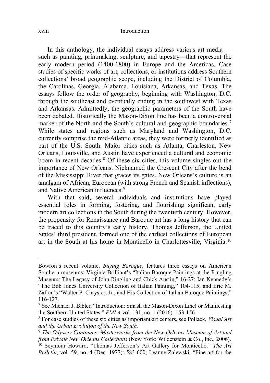#### xviii Introduction

In this anthology, the individual essays address various art media such as painting, printmaking, sculpture, and tapestry—that represent the early modern period (1400-1800) in Europe and the Americas. Case studies of specific works of art, collections, or institutions address Southern collections' broad geographic scope, including the District of Columbia, the Carolinas, Georgia, Alabama, Louisiana, Arkansas, and Texas. The essays follow the order of geography, beginning with Washington, D.C. through the southeast and eventually ending in the southwest with Texas and Arkansas. Admittedly, the geographic parameters of the South have been debated. Historically the Mason-Dixon line has been a controversial marker of the North and the South's cultural and geographic boundaries.<sup>[7](#page-17-0)</sup> While states and regions such as Maryland and Washington, D.C. currently comprise the mid-Atlantic areas, they were formerly identified as part of the U.S. South. Major cities such as Atlanta, Charleston, New Orleans, Louisville, and Austin have experienced a cultural and economic boom in recent decades.[8](#page-17-1) Of these six cities, this volume singles out the importance of New Orleans. Nicknamed the Crescent City after the bend of the Mississippi River that graces its gates, New Orleans's culture is an amalgam of African, European (with strong French and Spanish inflections), and Native American influences.[9](#page-17-2)

With that said, several individuals and institutions have played essential roles in forming, fostering, and flourishing significant early modern art collections in the South during the twentieth century. However, the propensity for Renaissance and Baroque art has a long history that can be traced to this country's early history. Thomas Jefferson, the United States' third president, formed one of the earliest collections of European art in the South at his home in Monticello in Charlottesville, Virginia.[10](#page-17-3)

Bowron's recent volume, *Buying Baroque*, features three essays on American Southern museums: Virginia Brilliant's "Italian Baroque Paintings at the Ringling Museum: The Legacy of John Ringling and Chick Austin," 16-27; Ian Kennedy's "The Bob Jones University Collection of Italian Painting," 104-115; and Eric M. Zafran's "Walter P. Chrysler, Jr., and His Collection of Italian Baroque Paintings," 116-127.

<span id="page-17-0"></span><sup>7</sup> See Michael J. Bibler, "Introduction: Smash the Mason-Dixon Line! or Manifesting the Southern United States," *PMLA* vol. 131, no. 1 (2016): 153-156.

<span id="page-17-1"></span><sup>8</sup> For case studies of these six cities as important art centers, see Pollack, *Visual Art and the Urban Evolution of the New South.*

<span id="page-17-2"></span><sup>9</sup> *The Odyssey Continues: Masterworks from the New Orleans Museum of Art and from Private New Orleans Collections* (New York: Wildenstein & Co., Inc., 2006).

<span id="page-17-3"></span><sup>10</sup> Seymour Howard, "Thomas Jefferson's Art Gallery for Monticello." *The Art Bulletin*, vol. 59, no. 4 (Dec. 1977): 583-600; Leanne Zalewski, "Fine art for the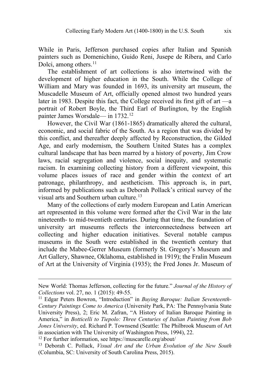While in Paris, Jefferson purchased copies after Italian and Spanish painters such as Domenichino, Guido Reni, Jusepe de Ribera, and Carlo Dolci, among others.<sup>[11](#page-18-0)</sup>

The establishment of art collections is also intertwined with the development of higher education in the South. While the College of William and Mary was founded in 1693, its university art museum, the Muscadelle Museum of Art, officially opened almost two hundred years later in 1983. Despite this fact, the College received its first gift of art —a portrait of Robert Boyle, the Third Earl of Burlington, by the English painter James Worsdale— in 1732.[12](#page-18-1)

However, the Civil War (1861-1865) dramatically altered the cultural, economic, and social fabric of the South. As a region that was divided by this conflict, and thereafter deeply affected by Reconstruction, the Gilded Age, and early modernism, the Southern United States has a complex cultural landscape that has been marred by a history of poverty, Jim Crow laws, racial segregation and violence, social inequity, and systematic racism. In examining collecting history from a different viewpoint, this volume places issues of race and gender within the context of art patronage, philanthropy, and aestheticism. This approach is, in part, informed by publications such as Deborah Pollack's critical survey of the visual arts and Southern urban culture.<sup>[13](#page-18-2)</sup>

Many of the collections of early modern European and Latin American art represented in this volume were formed after the Civil War in the late nineteenth- to mid-twentieth centuries. During that time, the foundation of university art museums reflects the interconnectedness between art collecting and higher education initiatives. Several notable campus museums in the South were established in the twentieth century that include the Mabee-Gerrer Museum (formerly St. Gregory's Museum and Art Gallery, Shawnee, Oklahoma, established in 1919); the Fralin Museum of Art at the University of Virginia (1935); the Fred Jones Jr. Museum of

New World: Thomas Jefferson, collecting for the future." *Journal of the History of Collections* vol. 27, no. 1 (2015): 49-55.

<span id="page-18-0"></span><sup>11</sup> Edgar Peters Bowron, "Introduction" in *Buying Baroque: Italian Seventeenth-Century Paintings Come to America* (University Park, PA: The Pennsylvania State University Press), 2; Eric M. Zafran, "A History of Italian Baroque Painting in America," in *Botticelli to Tiepolo: Three Centuries of Italian Painting from Bob Jones University*, ed. Richard P. Townsend (Seattle: The Philbrook Museum of Art in association with The University of Washington Press, 1994), 22.

<span id="page-18-1"></span><sup>12</sup> For further information, see https://muscarelle.org/about/

<span id="page-18-2"></span><sup>13</sup> Deborah C. Pollack, *Visual Art and the Urban Evolution of the New South* (Columbia, SC: University of South Carolina Press, 2015).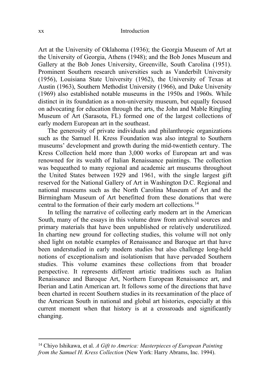Art at the University of Oklahoma (1936); the Georgia Museum of Art at the University of Georgia, Athens (1948); and the Bob Jones Museum and Gallery at the Bob Jones University, Greenville, South Carolina (1951). Prominent Southern research universities such as Vanderbilt University (1956), Louisiana State University (1962), the University of Texas at Austin (1963), Southern Methodist University (1966), and Duke University (1969) also established notable museums in the 1950s and 1960s. While distinct in its foundation as a non-university museum, but equally focused on advocating for education through the arts, the John and Mable Ringling Museum of Art (Sarasota, FL) formed one of the largest collections of early modern European art in the southeast.

The generosity of private individuals and philanthropic organizations such as the Samuel H. Kress Foundation was also integral to Southern museums' development and growth during the mid-twentieth century. The Kress Collection held more than 3,000 works of European art and was renowned for its wealth of Italian Renaissance paintings. The collection was bequeathed to many regional and academic art museums throughout the United States between 1929 and 1961, with the single largest gift reserved for the National Gallery of Art in Washington D.C. Regional and national museums such as the North Carolina Museum of Art and the Birmingham Museum of Art benefitted from these donations that were central to the formation of their early modern art collections.[14](#page-19-0)

In telling the narrative of collecting early modern art in the American South, many of the essays in this volume draw from archival sources and primary materials that have been unpublished or relatively underutilized. In charting new ground for collecting studies, this volume will not only shed light on notable examples of Renaissance and Baroque art that have been understudied in early modern studies but also challenge long-held notions of exceptionalism and isolationism that have pervaded Southern studies. This volume examines these collections from that broader perspective. It represents different artistic traditions such as Italian Renaissance and Baroque Art, Northern European Renaissance art, and Iberian and Latin American art. It follows some of the directions that have been charted in recent Southern studies in its reexamination of the place of the American South in national and global art histories, especially at this current moment when that history is at a crossroads and significantly changing.

<span id="page-19-0"></span><sup>14</sup> Chiyo Ishikawa, et al. *A Gift to America: Masterpieces of European Painting from the Samuel H. Kress Collection* (New York: Harry Abrams, Inc. 1994).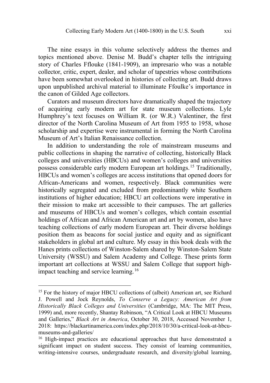The nine essays in this volume selectively address the themes and topics mentioned above. Denise M. Budd's chapter tells the intriguing story of Charles Fflouke (1841-1909), an impresario who was a notable collector, critic, expert, dealer, and scholar of tapestries whose contributions have been somewhat overlooked in histories of collecting art. Budd draws upon unpublished archival material to illuminate Ffoulke's importance in the canon of Gilded Age collectors.

Curators and museum directors have dramatically shaped the trajectory of acquiring early modern art for state museum collections. Lyle Humphrey's text focuses on William R. (or W.R.) Valentiner, the first director of the North Carolina Museum of Art from 1955 to 1958, whose scholarship and expertise were instrumental in forming the North Carolina Museum of Art's Italian Renaissance collection.

In addition to understanding the role of mainstream museums and public collections in shaping the narrative of collecting, historically Black colleges and universities (HBCUs) and women's colleges and universities possess considerable early modern European art holdings. [15](#page-20-0) Traditionally, HBCUs and women's colleges are access institutions that opened doors for African-Americans and women, respectively. Black communities were historically segregated and excluded from predominantly white Southern institutions of higher education; HBCU art collections were imperative in their mission to make art accessible to their campuses. The art galleries and museums of HBCUs and women's colleges, which contain essential holdings of African and African American art and art by women, also have teaching collections of early modern European art. Their diverse holdings position them as beacons for social justice and equity and as significant stakeholders in global art and culture. My essay in this book deals with the Hanes prints collections of Winston-Salem shared by Winston-Salem State University (WSSU) and Salem Academy and College. These prints form important art collections at WSSU and Salem College that support high-impact teaching and service learning.<sup>[16](#page-20-1)</sup>

<span id="page-20-0"></span><sup>&</sup>lt;sup>15</sup> For the history of major HBCU collections of (albeit) American art, see Richard J. Powell and Jock Reynolds, *To Conserve a Legacy: American Art from Historically Black Colleges and Universities* (Cambridge, MA: The MIT Press, 1999) and, more recently, Shantay Robinson, "A Critical Look at HBCU Museums and Galleries," *Black Art in America*, October 30, 2018, Accessed November 1, 2018: https://blackartinamerica.com/index.php/2018/10/30/a-critical-look-at-hbcumuseums-and-galleries/

<span id="page-20-1"></span><sup>&</sup>lt;sup>16</sup> High-impact practices are educational approaches that have demonstrated a significant impact on student success. They consist of learning communities, writing-intensive courses, undergraduate research, and diversity/global learning,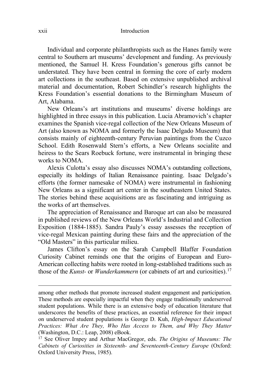Individual and corporate philanthropists such as the Hanes family were central to Southern art museums' development and funding. As previously mentioned, the Samuel H. Kress Foundation's generous gifts cannot be understated. They have been central in forming the core of early modern art collections in the southeast. Based on extensive unpublished archival material and documentation, Robert Schindler's research highlights the Kress Foundation's essential donations to the Birmingham Museum of Art, Alabama.

New Orleans's art institutions and museums' diverse holdings are highlighted in three essays in this publication. Lucia Abramovich's chapter examines the Spanish vice-regal collection of the New Orleans Museum of Art (also known as NOMA and formerly the Isaac Delgado Museum) that consists mainly of eighteenth-century Peruvian paintings from the Cuzco School. Edith Rosenwald Stern's efforts, a New Orleans socialite and heiress to the Sears Roebuck fortune, were instrumental in bringing these works to NOMA.

Alexis Culotta's essay also discusses NOMA's outstanding collections, especially its holdings of Italian Renaissance painting. Isaac Delgado's efforts (the former namesake of NOMA) were instrumental in fashioning New Orleans as a significant art center in the southeastern United States. The stories behind these acquisitions are as fascinating and intriguing as the works of art themselves.

The appreciation of Renaissance and Baroque art can also be measured in published reviews of the New Orleans World's Industrial and Collection Exposition (1884-1885). Sandra Pauly's essay assesses the reception of vice-regal Mexican painting during these fairs and the appreciation of the "Old Masters" in this particular milieu.

James Clifton's essay on the Sarah Campbell Blaffer Foundation Curiosity Cabinet reminds one that the origins of European and Euro-American collecting habits were rooted in long-established traditions such as those of the *Kunst-* or *Wunderkammern* (or cabinets of art and curiosities).[17](#page-21-0)

among other methods that promote increased student engagement and participation. These methods are especially impactful when they engage traditionally underserved student populations. While there is an extensive body of education literature that underscores the benefits of these practices, an essential reference for their impact on underserved student populations is George D. Kuh, *High-Impact Educational Practices: What Are They, Who Has Access to Them, and Why They Matter* (Washington, D.C.: Leap, 2008) eBook.

<span id="page-21-0"></span><sup>17</sup> See Oliver Impey and Arthur MacGregor, eds. *The Origins of Museums: The Cabinets of Curiosities in Sixteenth- and Seventeenth-Century Europe* (Oxford: Oxford University Press, 1985).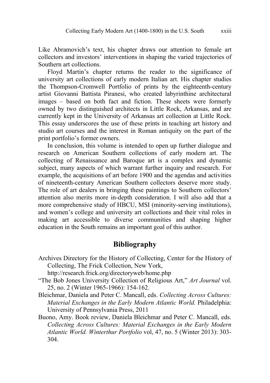Like Abramovich's text, his chapter draws our attention to female art collectors and investors' interventions in shaping the varied trajectories of Southern art collections.

Floyd Martin's chapter returns the reader to the significance of university art collections of early modern Italian art. His chapter studies the Thompson-Cromwell Portfolio of prints by the eighteenth-century artist Giovanni Battista Piranesi, who created labyrinthine architectural images – based on both fact and fiction. These sheets were formerly owned by two distinguished architects in Little Rock, Arkansas, and are currently kept in the University of Arkansas art collection at Little Rock. This essay underscores the use of these prints in teaching art history and studio art courses and the interest in Roman antiquity on the part of the print portfolio's former owners.

In conclusion, this volume is intended to open up further dialogue and research on American Southern collections of early modern art. The collecting of Renaissance and Baroque art is a complex and dynamic subject, many aspects of which warrant further inquiry and research. For example, the acquisitions of art before 1900 and the agendas and activities of nineteenth-century American Southern collectors deserve more study. The role of art dealers in bringing these paintings to Southern collectors' attention also merits more in-depth consideration. I will also add that a more comprehensive study of HBCU, MSI (minority-serving institutions), and women's college and university art collections and their vital roles in making art accessible to diverse communities and shaping higher education in the South remains an important goal of this author.

#### **Bibliography**

Archives Directory for the History of Collecting, Center for the History of Collecting, The Frick Collection, New York,

http://research.frick.org/directoryweb/home.php

- "The Bob Jones University Collection of Religious Art," *Art Journal* vol. 25, no. 2 (Winter 1965-1966): 154-162.
- Bleichmar, Daniela and Peter C. Mancall, eds. *Collecting Across Cultures: Material Exchanges in the Early Modern Atlantic World.* Philadelphia: University of Pennsylvania Press, 2011
- Buono, Amy. Book review, Daniela Bleichmar and Peter C. Mancall, eds. *Collecting Across Cultures: Material Exchanges in the Early Modern Atlantic World. Winterthur Portfolio* vol, 47, no. 5 (Winter 2013): 303- 304.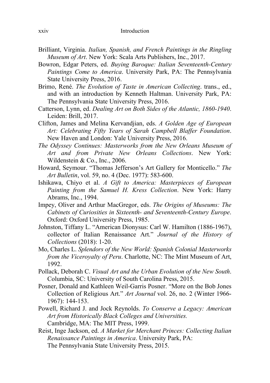- Brilliant, Virginia. *Italian, Spanish, and French Paintings in the Ringling Museum of Art*. New York: Scala Arts Publishers, Inc., 2017.
- Bowron, Edgar Peters, ed. *Buying Baroque: Italian Seventeenth-Century Paintings Come to America*. University Park, PA: The Pennsylvania State University Press, 2016.
- Brimo, René. *The Evolution of Taste in American Collecting*. trans., ed., and with an introduction by Kenneth Haltman. University Park, PA: The Pennsylvania State University Press, 2016.
- Catterson, Lynn, ed. *Dealing Art on Both Sides of the Atlantic, 1860-1940*. Leiden: Brill, 2017.
- Clifton, James and Melina Kervandjian, eds. *A Golden Age of European Art: Celebrating Fifty Years of Sarah Campbell Blaffer Foundation*. New Haven and London: Yale University Press, 2016.
- *The Odyssey Continues: Masterworks from the New Orleans Museum of Art and from Private New Orleans Collections*. New York: Wildenstein & Co., Inc., 2006.
- Howard, Seymour. "Thomas Jefferson's Art Gallery for Monticello." *The Art Bulletin*, vol. 59, no. 4 (Dec. 1977): 583-600.
- Ishikawa, Chiyo et al. *A Gift to America: Masterpieces of European Painting from the Samuel H. Kress Collection*. New York: Harry Abrams, Inc., 1994.
- Impey, Oliver and Arthur MacGregor, eds. *The Origins of Museums: The Cabinets of Curiosities in Sixteenth- and Seventeenth-Century Europe*. Oxford: Oxford University Press, 1985.
- Johnston, Tiffany L. "American Dionysus: Carl W. Hamilton (1886-1967), collector of Italian Renaissance Art." *Journal of the History of Collections* (2018): 1-20.
- Mo, Charles L. *Splendors of the New World: Spanish Colonial Masterworks from the Viceroyalty of Peru*. Charlotte, NC: The Mint Museum of Art, 1992.
- Pollack, Deborah C. *Visual Art and the Urban Evolution of the New South*. Columbia, SC: University of South Carolina Press, 2015.
- Posner, Donald and Kathleen Weil-Garris Posner. "More on the Bob Jones Collection of Religious Art." *Art Journal* vol. 26, no. 2 (Winter 1966- 1967): 144-153.
- Powell, Richard J. and Jock Reynolds. *To Conserve a Legacy: American Art from Historically Black Colleges and Universities.* Cambridge, MA: The MIT Press, 1999.
- Reist, Inge Jackson, ed. *A Market for Merchant Princes: Collecting Italian Renaissance Paintings in America*. University Park, PA: The Pennsylvania State University Press, 2015.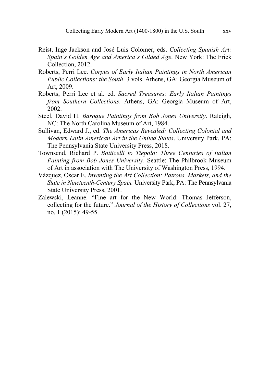- Reist, Inge Jackson and José Luis Colomer, eds. *Collecting Spanish Art: Spain's Golden Age and America's Gilded Age*. New York: The Frick Collection, 2012.
- Roberts, Perri Lee. *Corpus of Early Italian Paintings in North American Public Collections: the South*. 3 vols. Athens, GA: Georgia Museum of Art, 2009.
- Roberts, Perri Lee et al. ed. *Sacred Treasures: Early Italian Paintings from Southern Collections*. Athens, GA: Georgia Museum of Art, 2002.
- Steel, David H. *Baroque Paintings from Bob Jones University*. Raleigh, NC: The North Carolina Museum of Art, 1984.
- Sullivan, Edward J., ed. *The Americas Revealed: Collecting Colonial and Modern Latin American Art in the United States*. University Park, PA: The Pennsylvania State University Press, 2018.
- Townsend, Richard P. *Botticelli to Tiepolo: Three Centuries of Italian Painting from Bob Jones University*. Seattle: The Philbrook Museum of Art in association with The University of Washington Press, 1994.
- Vázquez*,* Oscar E. *Inventing the Art Collection: Patrons, Markets, and the State in Nineteenth-Century Spain.* University Park, PA: The Pennsylvania State University Press, 2001.
- Zalewski, Leanne. "Fine art for the New World: Thomas Jefferson, collecting for the future." *Journal of the History of Collections* vol. 27, no. 1 (2015): 49-55.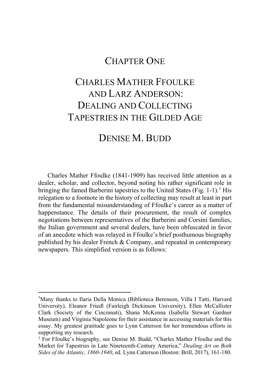## CHAPTER ONE

## CHARLES MATHER FFOULKE AND LARZ ANDERSON: DEALING AND COLLECTING TAPESTRIES IN THE GILDED AGE

### DENISE M. BUDD

Charles Mather Ffoulke (1841-1909) has received little attention as a dealer, scholar, and collector, beyond noting his rather significant role in bringing the famed Barberini tapestries to the United States (Fig. [1](#page-26-0)-1).<sup>1</sup> His relegation to a footnote in the history of collecting may result at least in part from the fundamental misunderstanding of Ffoulke's career as a matter of happenstance. The details of their procurement, the result of complex negotiations between representatives of the Barberini and Corsini families, the Italian government and several dealers, have been obfuscated in favor of an anecdote which was relayed in Ffoulke's brief posthumous biography published by his dealer French & Company, and repeated in contemporary newspapers. This simplified version is as follows:

<span id="page-26-0"></span><sup>\*</sup>Many thanks to Ilaria Della Monica (Biblioteca Berenson, Villa I Tatti, Harvard University), Eleanor Friedl (Fairleigh Dickinson University), Ellen McCallister Clark (Society of the Cincinnati), Shana McKenna (Isabella Stewart Gardner Museum) and Virginia Napoleone for their assistance in accessing materials for this essay. My greatest gratitude goes to Lynn Catterson for her tremendous efforts in supporting my research.

<sup>&</sup>lt;sup>1</sup> For Ffoulke's biography, see Denise M. Budd, "Charles Mather Ffoulke and the Market for Tapestries in Late Nineteenth-Century America," *Dealing Art on Both Sides of the Atlantic, 1860-1940*, ed. Lynn Catterson (Boston: Brill, 2017), 161-180.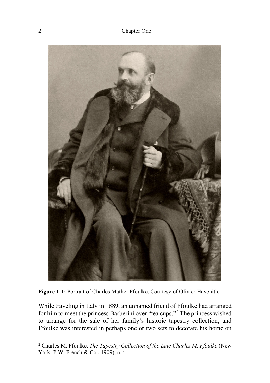

**Figure 1-1:** Portrait of Charles Mather Ffoulke. Courtesy of Olivier Havenith.

While traveling in Italy in 1889, an unnamed friend of Ffoulke had arranged for him to meet the princess Barberini over "tea cups."[2](#page-27-0) The princess wished to arrange for the sale of her family's historic tapestry collection, and Ffoulke was interested in perhaps one or two sets to decorate his home on

<span id="page-27-0"></span><sup>2</sup> Charles M. Ffoulke, *The Tapestry Collection of the Late Charles M. Ffoulke* (New York: P.W. French & Co., 1909), n.p.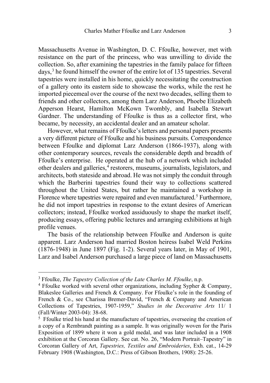Massachusetts Avenue in Washington, D. C. Ffoulke, however, met with resistance on the part of the princess, who was unwilling to divide the collection. So, after examining the tapestries in the family palace for fifteen days,[3](#page-28-0) he found himself the owner of the entire lot of 135 tapestries. Several tapestries were installed in his home, quickly necessitating the construction of a gallery onto its eastern side to showcase the works, while the rest he imported piecemeal over the course of the next two decades, selling them to friends and other collectors, among them Larz Anderson, Phoebe Elizabeth Apperson Hearst, Hamilton McKown Twombly, and Isabella Stewart Gardner. The understanding of Ffoulke is thus as a collector first, who became, by necessity, an accidental dealer and an amateur scholar.

However, what remains of Ffoulke's letters and personal papers presents a very different picture of Ffoulke and his business pursuits. Correspondence between Ffoulke and diplomat Larz Anderson (1866-1937), along with other contemporary sources, reveals the considerable depth and breadth of Ffoulke's enterprise. He operated at the hub of a network which included other dealers and galleries,<sup>4</sup> restorers, museums, journalists, legislators, and architects, both stateside and abroad. He was not simply the conduit through which the Barberini tapestries found their way to collections scattered throughout the United States, but rather he maintained a workshop in Florence where tapestries were repaired and even manufactured.<sup>[5](#page-28-2)</sup> Furthermore, he did not import tapestries in response to the extant desires of American collectors; instead, Ffoulke worked assiduously to shape the market itself, producing essays, offering public lectures and arranging exhibitions at high profile venues.

The basis of the relationship between Ffoulke and Anderson is quite apparent. Larz Anderson had married Boston heiress Isabel Weld Perkins (1876-1948) in June 1897 (Fig. 1-2). Several years later, in May of 1901, Larz and Isabel Anderson purchased a large piece of land on Massachusetts

<span id="page-28-0"></span><sup>3</sup> Ffoulke, *The Tapestry Collection of the Late Charles M. Ffoulke*, n.p.

<span id="page-28-1"></span><sup>4</sup> Ffoulke worked with several other organizations, including Sypher & Company, Blakeslee Galleries and French & Company. For Ffoulke's role in the founding of French & Co., see Charissa Bremer-David, "French & Company and American Collections of Tapestries, 1907-1959," *Studies in the Decorative Arts* 11/ 1 (Fall/Winter 2003-04): 38-68.

<span id="page-28-2"></span> $5$  Ffoulke tried his hand at the manufacture of tapestries, overseeing the creation of a copy of a Rembrandt painting as a sample. It was originally woven for the Paris Exposition of 1899 where it won a gold medal, and was later included in a 1908 exhibition at the Corcoran Gallery. See cat. No. 26, "Modern Portrait-Tapestry" in Corcoran Gallery of Art, *Tapestries, Textiles and Embroideries*, Exh. cat., 14-29 February 1908 (Washington, D.C.: Press of Gibson Brothers, 1908): 25-26.